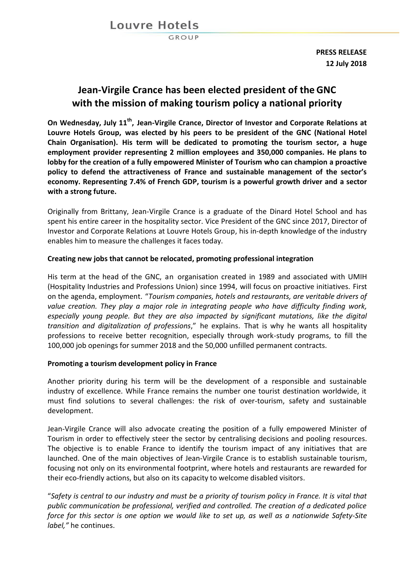GROUP

**PRESS RELEASE 12 July 2018**

# **Jean-Virgile Crance has been elected president of the GNC with the mission of making tourism policy a national priority**

**On Wednesday, July 11th , Jean-Virgile Crance, Director of Investor and Corporate Relations at Louvre Hotels Group, was elected by his peers to be president of the GNC (National Hotel Chain Organisation). His term will be dedicated to promoting the tourism sector, a huge employment provider representing 2 million employees and 350,000 companies. He plans to lobby for the creation of a fully empowered Minister of Tourism who can champion a proactive policy to defend the attractiveness of France and sustainable management of the sector's economy. Representing 7.4% of French GDP, tourism is a powerful growth driver and a sector with a strong future.**

Originally from Brittany, Jean-Virgile Crance is a graduate of the Dinard Hotel School and has spent his entire career in the hospitality sector. Vice President of the GNC since 2017, Director of Investor and Corporate Relations at Louvre Hotels Group, his in-depth knowledge of the industry enables him to measure the challenges it faces today.

### **Creating new jobs that cannot be relocated, promoting professional integration**

His term at the head of the GNC, an organisation created in 1989 and associated with UMIH (Hospitality Industries and Professions Union) since 1994, will focus on proactive initiatives. First on the agenda, employment. "*Tourism companies, hotels and restaurants, are veritable drivers of value creation. They play a major role in integrating people who have difficulty finding work, especially young people. But they are also impacted by significant mutations, like the digital transition and digitalization of professions*," he explains. That is why he wants all hospitality professions to receive better recognition, especially through work-study programs, to fill the 100,000 job openings for summer 2018 and the 50,000 unfilled permanent contracts.

### **Promoting a tourism development policy in France**

Another priority during his term will be the development of a responsible and sustainable industry of excellence. While France remains the number one tourist destination worldwide, it must find solutions to several challenges: the risk of over-tourism, safety and sustainable development.

Jean-Virgile Crance will also advocate creating the position of a fully empowered Minister of Tourism in order to effectively steer the sector by centralising decisions and pooling resources. The objective is to enable France to identify the tourism impact of any initiatives that are launched. One of the main objectives of Jean-Virgile Crance is to establish sustainable tourism, focusing not only on its environmental footprint, where hotels and restaurants are rewarded for their eco-friendly actions, but also on its capacity to welcome disabled visitors.

"*Safety is central to our industry and must be a priority of tourism policy in France. It is vital that public communication be professional, verified and controlled. The creation of a dedicated police force for this sector is one option we would like to set up, as well as a nationwide Safety-Site label,"* he continues.